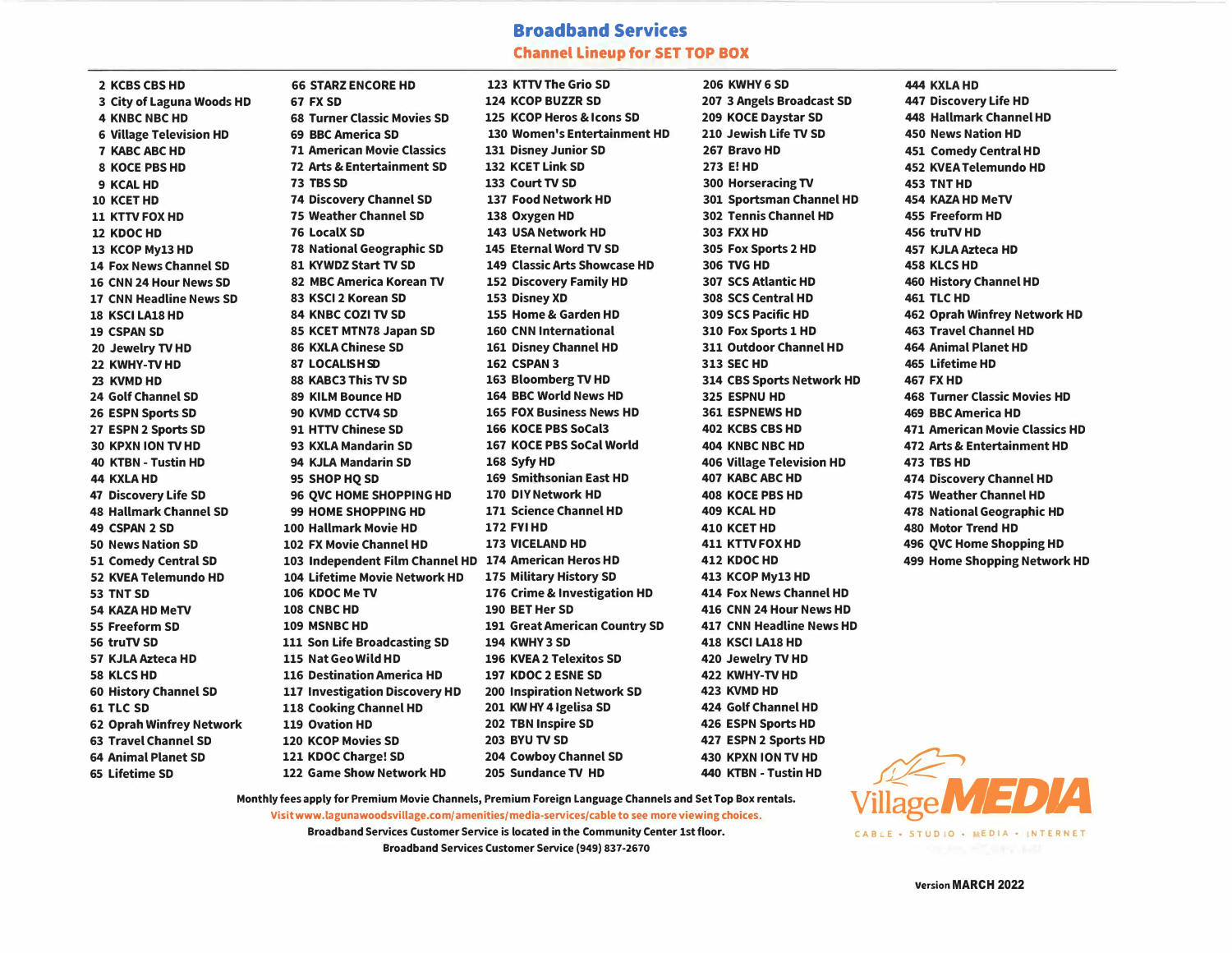## **Broadband Services Channel Lineup for SET TOP BOX**

**2 KCBS CBSHD 3 City of Laguna Woods HD 4 KNBC NBCHD 6 Village Television HD 7 KABC ABCHD 8 KOCE PBS HD 9 KCAL HD 10 KCETHD 11 KTTV FOX HD 12 KDOCHD 13 KCOP My13 HD 14 Fox News Channel SD 16 CNN 24 Hour News SD 17 CNN Headline News SD 18 KSCI LA18 HD 19 CSPAN SD 20 Jewelry TV HD 22 KWHV-TV HD**  23 **KVMD HD 24 Golf Channel SD 26 ESPN Sports SD 27 ESPN 2 Sports SD 30 KPXN ION TV HD 40 KTBN - Tustin HD 44 KXLAHD 47 Discovery Life SD 48 Hallmark Channel SD 49 CSPAN 2 SD 50 News Nation SD 51 Comedy Central SD 52 KVEA Telemundo HD 53 TNT SD 54 KAZA HD MeTV 55 Freeform SD 56 truTV SD 57 KJLA Azteca HD 58 KLCSHD 60 History Channel SD 61 TLC SD 62 Oprah Winfrey Network 63 Travel Channel SD 64 Animal Planet SD 65 Lifetime SD**

**66 STARZ ENCOREHD 67 FX SD 68 Turner Classic Movies SD 69 BBC America SD 71 American Movie Classics 72 Arts & Entertainment SD 73 TBS SD 74 Discovery Channel SD 75 Weather Channel SD 76 LocalX SD 78 National Geographic SD 81 KVWDZ Start TV SD 82 MBC America Korean TV 83 KSCI 2 Korean SD 84 KNBC COZI TV SD 85 KCET MTN78 Japan SD 86 KXLA Chinese SD 87 LOCALISH SD 88 KABC3 This TV SD 89 KILM Bounce HD 90 KVMD CCTV4 SD 91 HTTV Chinese SD 93 KXLA Mandarin SD 94 KJLA Mandarin SD 95 SHOP HQ SD 96 QVC HOME SHOPPING HD 99 HOME SHOPPING HD 100 Hallmark Movie HD 102 FX Movie Channel HD 103 Independent Film Channel HD 174 American Heros HD 104 Lifetime Movie Network HD 106 KDOC Me TV 108 CNBCHD 109 MSNBCHD 111 Son Life Broadcasting SD 115 Nat Geo Wild HD 116 Destination America HD 117 Investigation Discovery HD 118 Cooking Channel HD 119 Ovation HD 120 KCOP Movies SD 121 KDOC Charge! SD 122 Game Show Network HD** 

**123 KTTV The Grio SD 124 KCOP BUZZR SD 125 KCOP Heros & Icons SD 130 Women's Entertainment HD 131 Disney Junior SD 132 KCET Link SD 133 Court TV SD 137 Food Network HD 138 Oxygen HD 143 USA Network HD 145 Eternal Word TV SD 149 Classic Arts Showcase HD 152 Discovery Family HD 153 Disney XD 155 Home & Garden HD 160 CNN International 161 Disney Channel HD 162 CSPAN 3 163 Bloomberg TV HD 164 BBC World News HD 165 FOX Business News HD 166 KOCE PBS SoCal3 167 KOCE PBS SoCal World 168 SyfyHD 169 Smithsonian East HD 170 DIV Network HD 171 Science Channel HD 172 FYI HD 173 VICELAND HD 175 Military History SD 176 Crime & Investigation HD 190 BET Her SD 191 Great American Country SD 194 KWHV3 SD 196 KVEA 2 Telexitos SD 197 KDOC 2 ESNE SD 200 Inspiration Network SD 201 KWHV 4 lgelisa SD 202 TBN Inspire SD 203 BVU TV SD 204 Cowboy Channel SD 205 Sundance TV HD**

**206 KWHV6 SD 207 3 Angels Broadcast SD 209 KOCE Daystar SD 210 Jewish Life TV SD 267 Bravo HD 273 E! HD 300 Horseracing TV 301 Sportsman Channel HD 302 Tennis Channel HD 303 FXXHD 305 Fox Sports 2 HD 306 TVG HD 307 SCS Atlantic HD 308 SCS Central HD 309 SCS Pacific HD 310 Fox Sports 1 HD 311 Outdoor Channel HD 313 SEC HD 314 CBS Sports Network HD 325 ESPNU HD 361 ESPNEWS HD 402 KCBS CBS HD 404 KNBC NBC HD 406 Village Television HD 407 KABC ABC HD 408 KOCE PBS HD 409 KCAL HD 410 KCETHD 411 KTTV FOX HD 412 KDOCHD 413 KCOP My13 HD 414 Fox News Channel HD 416 CNN 24 Hour News HD 417 CNN Headline News HD 418 KSCI LA18 HD 420 Jewelry TV HD 422 KWHV-TVHD 423 KVMD HD 424 Golf Channel HD 426 ESPN Sports HD 427 ESPN 2 Sports HD 430 KPXN ION TV HD 440 KTBN - Tustin HD** 

**444 KXLAHD 447 Discovery Life HD 448 Hallmark Channel HD 450 News Nation HD 451 Comedy Central HD 452 KVEA Telemundo HD 453 TNT HD 454 KAZA HD MeTV 455 Freeform HD 456 truTVHD 457 KJLA Azteca HD 458 KLCSHD 460 History Channel HD 461 TLC HD 462 Oprah Winfrey Network HD 463 Travel Channel HD 464 Animal Planet HD 465 Lifetime HD 467 FX HD 468 Turner Classic Movies HD 469 BBC America HD 471 American Movie Classics HD 472 Arts & Entertainment HD 473 TBS HD 474 Discovery Channel HD 475 Weather Channel HD 478 National Geographic HD 480 Motor Trend HD 496 QVC Home Shopping HD 499 Home Shopping Network HD** 

**Monthly fees apply for Premium Movie Channels, Premium Foreign Language Channels and Set Top Box rentals. Visit www.lagunawoodsvillage.c om/amenities /medi a-services/cable to see more viewing choices**

> **Broadband Services Customer Service is located in the Community Center 1st floor. Broadband Services Customer Service (949) 837-2670**